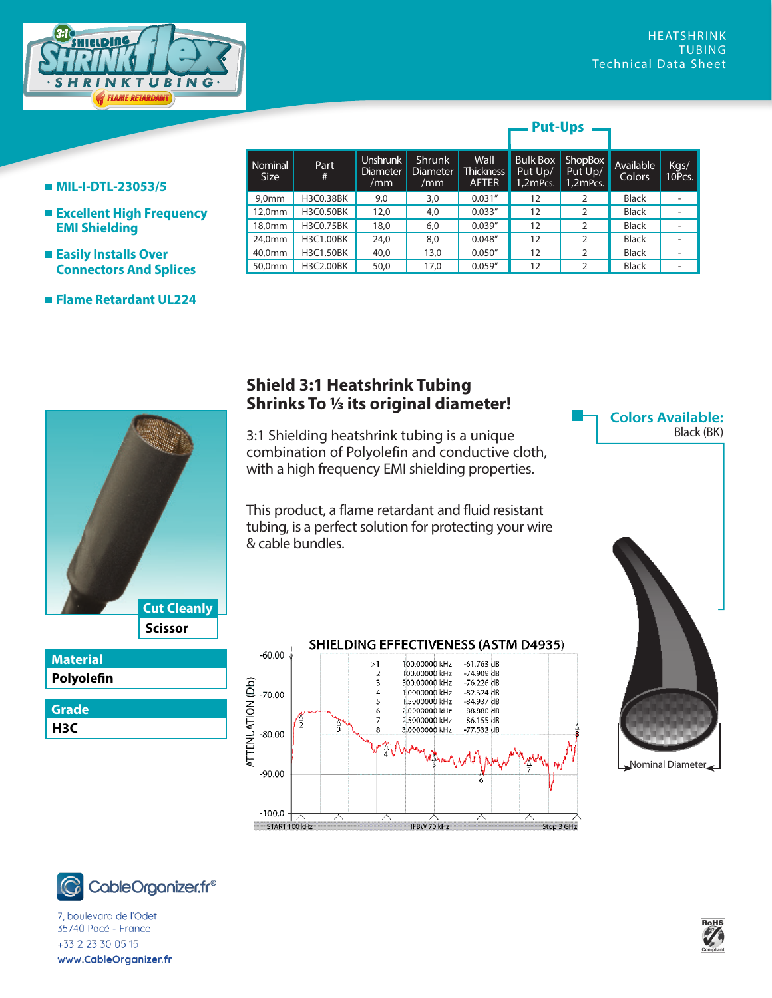

## **Put-Ups**

- **MIL-I-DTL-23053/5**
- **Excellent High Frequency EMI Shielding**
- **Easily Installs Over Connectors And Splices**
- **Flame Retardant UL224**

| Nominal | Part      | Unshrunk               | Shrunk                 | Wall                             | <b>Bulk Box</b>     | <b>ShopBox</b>      | Available    | Kgs/   |
|---------|-----------|------------------------|------------------------|----------------------------------|---------------------|---------------------|--------------|--------|
| Size    | #         | <b>Diameter</b><br>/mm | <b>Diameter</b><br>/mm | <b>Thickness</b><br><b>AFTER</b> | Put Up/<br>1,2mPcs. | Put Up/<br>1,2mPcs. | Colors       | 10Pcs. |
| 9,0mm   | H3C0.38BK | 9,0                    | 3,0                    | 0.031''                          | 12                  | 2                   | <b>Black</b> |        |
| 12,0mm  | H3C0.50BK | 12,0                   | 4,0                    | 0.033''                          | 12                  | 2                   | <b>Black</b> |        |
| 18,0mm  | H3C0.75BK | 18,0                   | 6,0                    | 0.039''                          | 12                  | 2                   | <b>Black</b> |        |
| 24,0mm  | H3C1.00BK | 24,0                   | 8,0                    | 0.048''                          | 12                  | 2                   | <b>Black</b> |        |
| 40,0mm  | H3C1.50BK | 40,0                   | 13,0                   | 0.050''                          | 12                  | 2                   | <b>Black</b> |        |
| 50,0mm  | H3C2.00BK | 50,0                   | 17,0                   | 0.059''                          | 12                  | 2                   | <b>Black</b> |        |



## **Polyolefin Material H3C Grade**

## **Shield 3:1 Heatshrink Tubing Shrinks To 1/3 its original diameter!**

3:1 Shielding heatshrink tubing is a unique combination of Polyolefin and conductive cloth, with a high frequency EMI shielding properties.

This product, a flame retardant and fluid resistant tubing, is a perfect solution for protecting your wire & cable bundles.







7, boulevard de l'Odet 35740 Pacé - France  $323.222.00515$  $\frac{1}{2}$  Demarrest Road  $\frac{1}{2}$